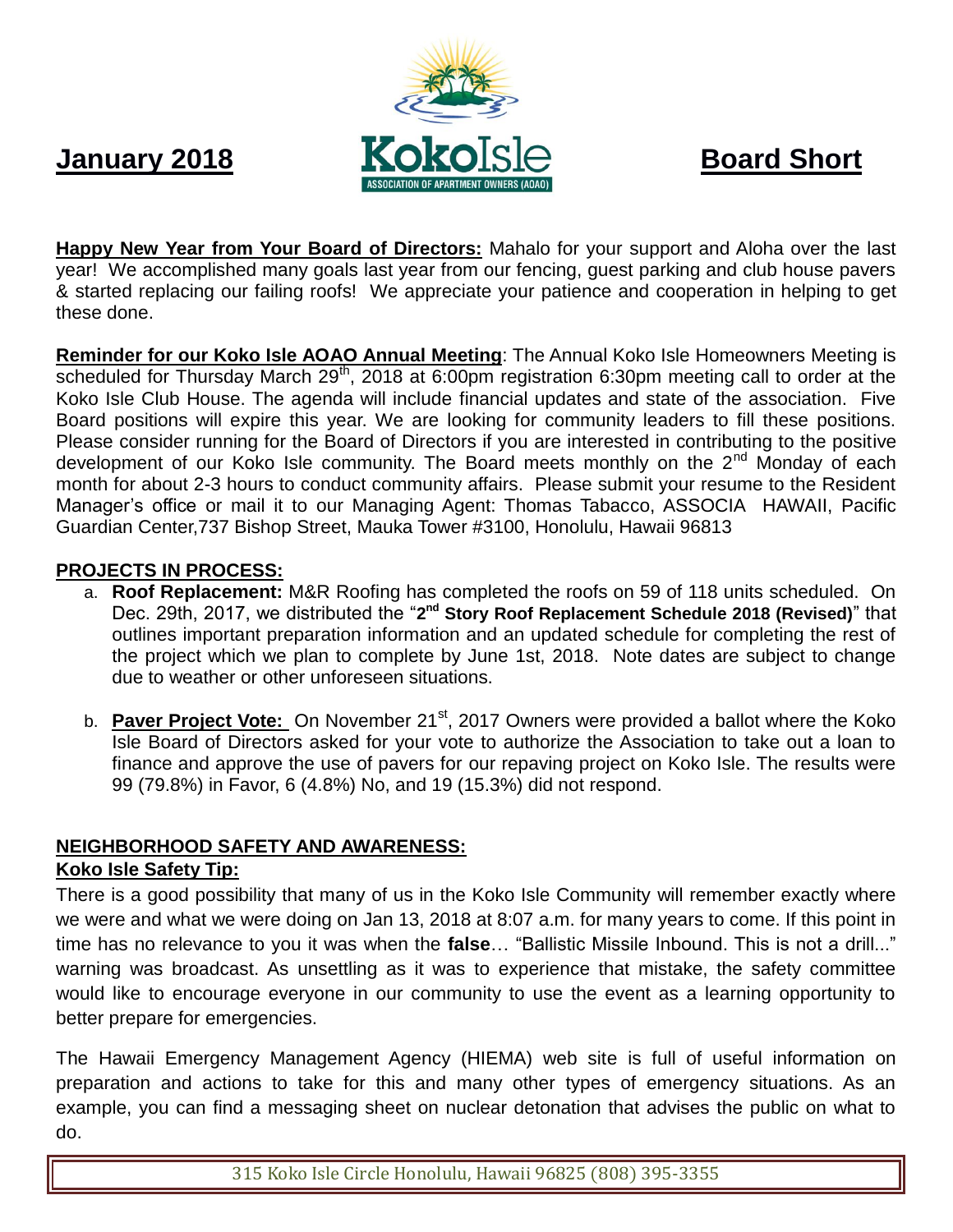

**Happy New Year from Your Board of Directors:** Mahalo for your support and Aloha over the last year! We accomplished many goals last year from our fencing, guest parking and club house pavers & started replacing our failing roofs! We appreciate your patience and cooperation in helping to get these done.

**Reminder for our Koko Isle AOAO Annual Meeting**: The Annual Koko Isle Homeowners Meeting is scheduled for Thursday March 29<sup>th</sup>, 2018 at 6:00pm registration 6:30pm meeting call to order at the Koko Isle Club House. The agenda will include financial updates and state of the association. Five Board positions will expire this year. We are looking for community leaders to fill these positions. Please consider running for the Board of Directors if you are interested in contributing to the positive development of our Koko Isle community. The Board meets monthly on the 2<sup>nd</sup> Monday of each month for about 2-3 hours to conduct community affairs. Please submit your resume to the Resident Manager's office or mail it to our Managing Agent: Thomas Tabacco, ASSOCIA HAWAII, Pacific Guardian Center,737 Bishop Street, Mauka Tower #3100, Honolulu, Hawaii 96813

## **PROJECTS IN PROCESS:**

- a. **Roof Replacement:** M&R Roofing has completed the roofs on 59 of 118 units scheduled. On Dec. 29th, 2017, we distributed the "2<sup>nd</sup> Story Roof Replacement Schedule 2018 (Revised)" that outlines important preparation information and an updated schedule for completing the rest of the project which we plan to complete by June 1st, 2018. Note dates are subject to change due to weather or other unforeseen situations.
- b. **Paver Project Vote:** On November 21<sup>st</sup>, 2017 Owners were provided a ballot where the Koko Isle Board of Directors asked for your vote to authorize the Association to take out a loan to finance and approve the use of pavers for our repaving project on Koko Isle. The results were 99 (79.8%) in Favor, 6 (4.8%) No, and 19 (15.3%) did not respond.

# **NEIGHBORHOOD SAFETY AND AWARENESS:**

## **Koko Isle Safety Tip:**

There is a good possibility that many of us in the Koko Isle Community will remember exactly where we were and what we were doing on Jan 13, 2018 at 8:07 a.m. for many years to come. If this point in time has no relevance to you it was when the **false**… "Ballistic Missile Inbound. This is not a drill..." warning was broadcast. As unsettling as it was to experience that mistake, the safety committee would like to encourage everyone in our community to use the event as a learning opportunity to better prepare for emergencies.

The Hawaii Emergency Management Agency (HIEMA) web site is full of useful information on preparation and actions to take for this and many other types of emergency situations. As an example, you can find a messaging sheet on nuclear detonation that advises the public on what to do.

315 Koko Isle Circle Honolulu, Hawaii 96825 (808) 395-3355